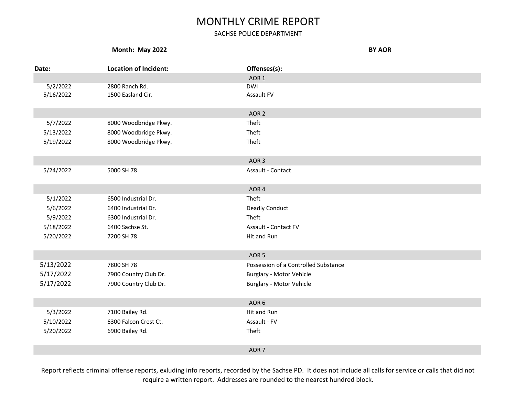### SACHSE POLICE DEPARTMENT

#### **Month: May 2022 BY AOR**

| Date:     | <b>Location of Incident:</b> | Offenses(s):                         |  |
|-----------|------------------------------|--------------------------------------|--|
|           |                              | AOR <sub>1</sub>                     |  |
| 5/2/2022  | 2800 Ranch Rd.               | <b>DWI</b>                           |  |
| 5/16/2022 | 1500 Easland Cir.            | Assault FV                           |  |
|           |                              |                                      |  |
|           |                              | AOR <sub>2</sub>                     |  |
| 5/7/2022  | 8000 Woodbridge Pkwy.        | Theft                                |  |
| 5/13/2022 | 8000 Woodbridge Pkwy.        | Theft                                |  |
| 5/19/2022 | 8000 Woodbridge Pkwy.        | Theft                                |  |
|           |                              |                                      |  |
|           |                              | AOR <sub>3</sub>                     |  |
| 5/24/2022 | 5000 SH 78                   | Assault - Contact                    |  |
|           |                              |                                      |  |
|           |                              | AOR 4                                |  |
| 5/1/2022  | 6500 Industrial Dr.          | Theft                                |  |
| 5/6/2022  | 6400 Industrial Dr.          | <b>Deadly Conduct</b>                |  |
| 5/9/2022  | 6300 Industrial Dr.          | Theft                                |  |
| 5/18/2022 | 6400 Sachse St.              | <b>Assault - Contact FV</b>          |  |
| 5/20/2022 | 7200 SH 78                   | Hit and Run                          |  |
|           |                              |                                      |  |
|           |                              | AOR <sub>5</sub>                     |  |
| 5/13/2022 | 7800 SH 78                   | Possession of a Controlled Substance |  |
| 5/17/2022 | 7900 Country Club Dr.        | <b>Burglary - Motor Vehicle</b>      |  |
| 5/17/2022 | 7900 Country Club Dr.        | <b>Burglary - Motor Vehicle</b>      |  |
|           |                              |                                      |  |
|           |                              | AOR 6                                |  |
| 5/3/2022  | 7100 Bailey Rd.              | Hit and Run                          |  |
| 5/10/2022 | 6300 Falcon Crest Ct.        | Assault - FV                         |  |
| 5/20/2022 | 6900 Bailey Rd.              | Theft                                |  |
|           |                              |                                      |  |
|           |                              | AOR <sub>7</sub>                     |  |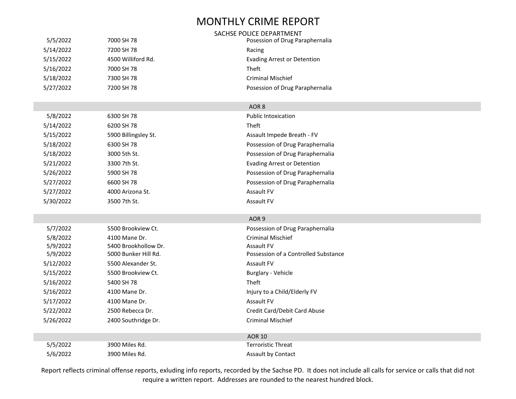|           |                      | SACHSE POLICE DEPARTMENT             |
|-----------|----------------------|--------------------------------------|
| 5/5/2022  | 7000 SH 78           | Posession of Drug Paraphernalia      |
| 5/14/2022 | 7200 SH 78           | Racing                               |
| 5/15/2022 | 4500 Williford Rd.   | <b>Evading Arrest or Detention</b>   |
| 5/16/2022 | 7000 SH 78           | <b>Theft</b>                         |
| 5/18/2022 | 7300 SH 78           | <b>Criminal Mischief</b>             |
| 5/27/2022 | 7200 SH 78           | Posession of Drug Paraphernalia      |
|           |                      |                                      |
|           |                      | AOR <sub>8</sub>                     |
| 5/8/2022  | 6300 SH 78           | <b>Public Intoxication</b>           |
| 5/14/2022 | 6200 SH 78           | Theft                                |
| 5/15/2022 | 5900 Billingsley St. | Assault Impede Breath - FV           |
| 5/18/2022 | 6300 SH 78           | Possession of Drug Paraphernalia     |
| 5/18/2022 | 3000 5th St.         | Possession of Drug Paraphernalia     |
| 5/21/2022 | 3300 7th St.         | <b>Evading Arrest or Detention</b>   |
| 5/26/2022 | 5900 SH 78           | Possession of Drug Paraphernalia     |
| 5/27/2022 | 6600 SH 78           | Possession of Drug Paraphernalia     |
| 5/27/2022 | 4000 Arizona St.     | Assault FV                           |
| 5/30/2022 | 3500 7th St.         | Assault FV                           |
|           |                      |                                      |
|           |                      | AOR <sub>9</sub>                     |
| 5/7/2022  | 5500 Brookview Ct.   | Possession of Drug Paraphernalia     |
| 5/8/2022  | 4100 Mane Dr.        | <b>Criminal Mischief</b>             |
| 5/9/2022  | 5400 Brookhollow Dr. | Assault FV                           |
| 5/9/2022  | 5000 Bunker Hill Rd. | Possession of a Controlled Substance |
| 5/12/2022 | 5500 Alexander St.   | Assault FV                           |
| 5/15/2022 | 5500 Brookview Ct.   | Burglary - Vehicle                   |
| 5/16/2022 | 5400 SH 78           | <b>Theft</b>                         |
| 5/16/2022 | 4100 Mane Dr.        | Injury to a Child/Elderly FV         |
| 5/17/2022 | 4100 Mane Dr.        | Assault FV                           |
| 5/22/2022 | 2500 Rebecca Dr.     | Credit Card/Debit Card Abuse         |
| 5/26/2022 | 2400 Southridge Dr.  | Criminal Mischief                    |
|           |                      | <b>AOR 10</b>                        |
| 5/5/2022  | 3900 Miles Rd.       | <b>Terroristic Threat</b>            |
| 5/6/2022  | 3900 Miles Rd.       | Assault by Contact                   |
|           |                      |                                      |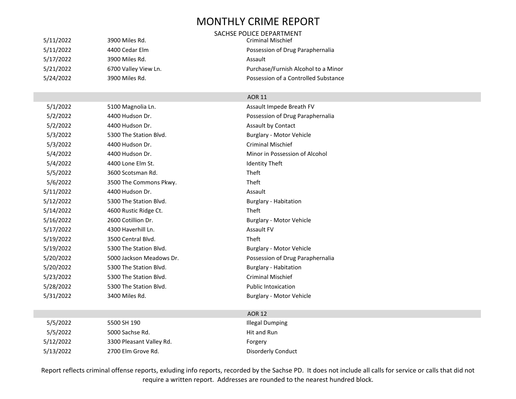#### SACHSE POLICE DEPARTMENT

5/11/2022 3900 Miles Rd. Criminal Mischief 5/11/2022 4400 Cedar Elm Possession of Drug Paraphernalia 5/17/2022 3900 Miles Rd. 2006 3900 Miles Rd. 5/21/2022 6700 Valley View Ln. Purchase/Furnish Alcohol to a Minor 5/24/2022 3900 Miles Rd. Possession of a Controlled Substance

#### AOR 11

| 5/1/2022  | 5100 Magnolia Ln.        | Assault Impede Breath FV         |
|-----------|--------------------------|----------------------------------|
| 5/2/2022  | 4400 Hudson Dr.          | Possession of Drug Paraphernalia |
| 5/2/2022  | 4400 Hudson Dr.          | <b>Assault by Contact</b>        |
| 5/3/2022  | 5300 The Station Blvd.   | Burglary - Motor Vehicle         |
| 5/3/2022  | 4400 Hudson Dr.          | <b>Criminal Mischief</b>         |
| 5/4/2022  | 4400 Hudson Dr.          | Minor in Possession of Alcohol   |
| 5/4/2022  | 4400 Lone Elm St.        | <b>Identity Theft</b>            |
| 5/5/2022  | 3600 Scotsman Rd.        | Theft                            |
| 5/6/2022  | 3500 The Commons Pkwy.   | <b>Theft</b>                     |
| 5/11/2022 | 4400 Hudson Dr.          | Assault                          |
| 5/12/2022 | 5300 The Station Blvd.   | <b>Burglary - Habitation</b>     |
| 5/14/2022 | 4600 Rustic Ridge Ct.    | Theft                            |
| 5/16/2022 | 2600 Cotillion Dr.       | <b>Burglary - Motor Vehicle</b>  |
| 5/17/2022 | 4300 Haverhill Ln.       | <b>Assault FV</b>                |
| 5/19/2022 | 3500 Central Blvd.       | Theft                            |
| 5/19/2022 | 5300 The Station Blvd.   | <b>Burglary - Motor Vehicle</b>  |
| 5/20/2022 | 5000 Jackson Meadows Dr. | Possession of Drug Paraphernalia |
| 5/20/2022 | 5300 The Station Blvd.   | <b>Burglary - Habitation</b>     |
| 5/23/2022 | 5300 The Station Blvd.   | <b>Criminal Mischief</b>         |
| 5/28/2022 | 5300 The Station Blvd.   | <b>Public Intoxication</b>       |
| 5/31/2022 | 3400 Miles Rd.           | <b>Burglary - Motor Vehicle</b>  |
|           |                          |                                  |

| 5/5/2022  | 5500 SH 190              | Illegal Dumping    |
|-----------|--------------------------|--------------------|
| 5/5/2022  | 5000 Sachse Rd.          | Hit and Run        |
| 5/12/2022 | 3300 Pleasant Valley Rd. | Forgery            |
| 5/13/2022 | 2700 Elm Grove Rd.       | Disorderly Conduct |

#### AOR 12

| Illegal Dumping    |
|--------------------|
| Hit and Run        |
| Forgery            |
| Disorderly Conduct |